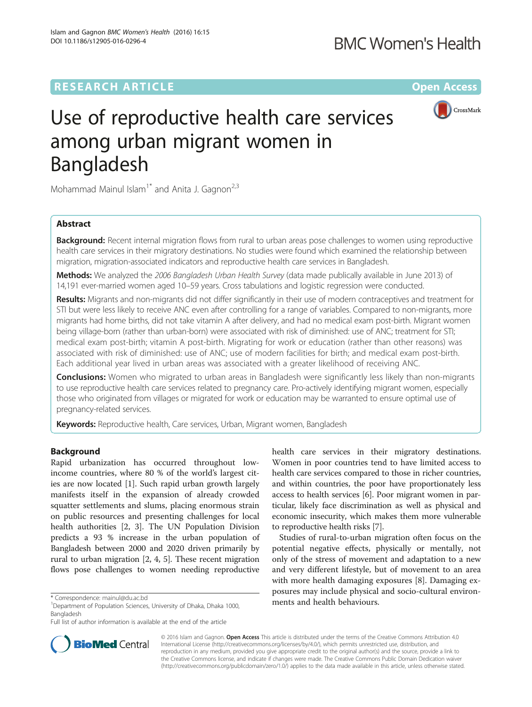## **BMC Women's Health**

### **RESEARCH ARTICLE External Structure Community Community Community Community Community Community Community Community**



# Use of reproductive health care services among urban migrant women in Bangladesh

Mohammad Mainul Islam<sup>1\*</sup> and Anita J. Gagnon<sup>2,3</sup>

#### Abstract

**Background:** Recent internal migration flows from rural to urban areas pose challenges to women using reproductive health care services in their migratory destinations. No studies were found which examined the relationship between migration, migration-associated indicators and reproductive health care services in Bangladesh.

Methods: We analyzed the 2006 Bangladesh Urban Health Survey (data made publically available in June 2013) of 14,191 ever-married women aged 10–59 years. Cross tabulations and logistic regression were conducted.

Results: Migrants and non-migrants did not differ significantly in their use of modern contraceptives and treatment for STI but were less likely to receive ANC even after controlling for a range of variables. Compared to non-migrants, more migrants had home births, did not take vitamin A after delivery, and had no medical exam post-birth. Migrant women being village-born (rather than urban-born) were associated with risk of diminished: use of ANC; treatment for STI; medical exam post-birth; vitamin A post-birth. Migrating for work or education (rather than other reasons) was associated with risk of diminished: use of ANC; use of modern facilities for birth; and medical exam post-birth. Each additional year lived in urban areas was associated with a greater likelihood of receiving ANC.

**Conclusions:** Women who migrated to urban areas in Bangladesh were significantly less likely than non-migrants to use reproductive health care services related to pregnancy care. Pro-actively identifying migrant women, especially those who originated from villages or migrated for work or education may be warranted to ensure optimal use of pregnancy-related services.

Keywords: Reproductive health, Care services, Urban, Migrant women, Bangladesh

#### Background

Rapid urbanization has occurred throughout lowincome countries, where 80 % of the world's largest cities are now located [\[1\]](#page-6-0). Such rapid urban growth largely manifests itself in the expansion of already crowded squatter settlements and slums, placing enormous strain on public resources and presenting challenges for local health authorities [[2, 3\]](#page-6-0). The UN Population Division predicts a 93 % increase in the urban population of Bangladesh between 2000 and 2020 driven primarily by rural to urban migration [[2](#page-6-0), [4, 5\]](#page-6-0). These recent migration flows pose challenges to women needing reproductive

health care services in their migratory destinations. Women in poor countries tend to have limited access to health care services compared to those in richer countries, and within countries, the poor have proportionately less access to health services [[6\]](#page-6-0). Poor migrant women in particular, likely face discrimination as well as physical and economic insecurity, which makes them more vulnerable to reproductive health risks [\[7\]](#page-6-0).

Studies of rural-to-urban migration often focus on the potential negative effects, physically or mentally, not only of the stress of movement and adaptation to a new and very different lifestyle, but of movement to an area with more health damaging exposures [[8\]](#page-6-0). Damaging exposures may include physical and socio-cultural environ\* Correspondence: [mainul@du.ac.bd](mailto:mainul@du.ac.bd)<br>
<sup>1</sup>Department of Population Sciences, University of Dhaka, Dhaka 1000, **1998** ments and health behaviours.



© 2016 Islam and Gagnon. Open Access This article is distributed under the terms of the Creative Commons Attribution 4.0 International License [\(http://creativecommons.org/licenses/by/4.0/](http://creativecommons.org/licenses/by/4.0/)), which permits unrestricted use, distribution, and reproduction in any medium, provided you give appropriate credit to the original author(s) and the source, provide a link to the Creative Commons license, and indicate if changes were made. The Creative Commons Public Domain Dedication waiver [\(http://creativecommons.org/publicdomain/zero/1.0/](http://creativecommons.org/publicdomain/zero/1.0/)) applies to the data made available in this article, unless otherwise stated.

Bangladesh

Full list of author information is available at the end of the article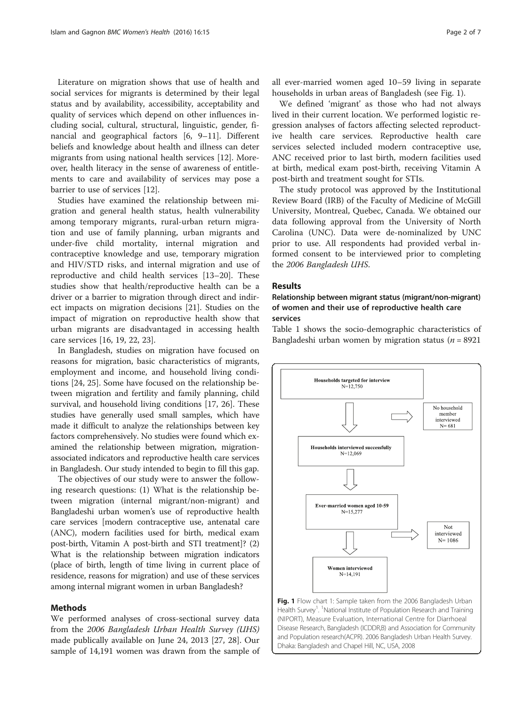Literature on migration shows that use of health and social services for migrants is determined by their legal status and by availability, accessibility, acceptability and quality of services which depend on other influences including social, cultural, structural, linguistic, gender, financial and geographical factors [\[6](#page-6-0), [9](#page-6-0)–[11](#page-6-0)]. Different beliefs and knowledge about health and illness can deter migrants from using national health services [\[12](#page-6-0)]. Moreover, health literacy in the sense of awareness of entitlements to care and availability of services may pose a barrier to use of services [[12](#page-6-0)].

Studies have examined the relationship between migration and general health status, health vulnerability among temporary migrants, rural-urban return migration and use of family planning, urban migrants and under-five child mortality, internal migration and contraceptive knowledge and use, temporary migration and HIV/STD risks, and internal migration and use of reproductive and child health services [\[13](#page-6-0)–[20\]](#page-6-0). These studies show that health/reproductive health can be a driver or a barrier to migration through direct and indirect impacts on migration decisions [[21\]](#page-6-0). Studies on the impact of migration on reproductive health show that urban migrants are disadvantaged in accessing health care services [\[16](#page-6-0), [19](#page-6-0), [22](#page-6-0), [23\]](#page-6-0).

In Bangladesh, studies on migration have focused on reasons for migration, basic characteristics of migrants, employment and income, and household living conditions [[24, 25\]](#page-6-0). Some have focused on the relationship between migration and fertility and family planning, child survival, and household living conditions [\[17](#page-6-0), [26\]](#page-6-0). These studies have generally used small samples, which have made it difficult to analyze the relationships between key factors comprehensively. No studies were found which examined the relationship between migration, migrationassociated indicators and reproductive health care services in Bangladesh. Our study intended to begin to fill this gap.

The objectives of our study were to answer the following research questions: (1) What is the relationship between migration (internal migrant/non-migrant) and Bangladeshi urban women's use of reproductive health care services [modern contraceptive use, antenatal care (ANC), modern facilities used for birth, medical exam post-birth, Vitamin A post-birth and STI treatment]? (2) What is the relationship between migration indicators (place of birth, length of time living in current place of residence, reasons for migration) and use of these services among internal migrant women in urban Bangladesh?

#### Methods

We performed analyses of cross-sectional survey data from the 2006 Bangladesh Urban Health Survey (UHS) made publically available on June 24, 2013 [[27, 28](#page-6-0)]. Our sample of 14,191 women was drawn from the sample of

all ever-married women aged 10–59 living in separate households in urban areas of Bangladesh (see Fig. 1).

We defined 'migrant' as those who had not always lived in their current location. We performed logistic regression analyses of factors affecting selected reproductive health care services. Reproductive health care services selected included modern contraceptive use, ANC received prior to last birth, modern facilities used at birth, medical exam post-birth, receiving Vitamin A post-birth and treatment sought for STIs.

The study protocol was approved by the Institutional Review Board (IRB) of the Faculty of Medicine of McGill University, Montreal, Quebec, Canada. We obtained our data following approval from the University of North Carolina (UNC). Data were de-nominalized by UNC prior to use. All respondents had provided verbal informed consent to be interviewed prior to completing the 2006 Bangladesh UHS.

#### **Results**

#### Relationship between migrant status (migrant/non-migrant) of women and their use of reproductive health care services

Table [1](#page-2-0) shows the socio-demographic characteristics of Bangladeshi urban women by migration status ( $n = 8921$ 



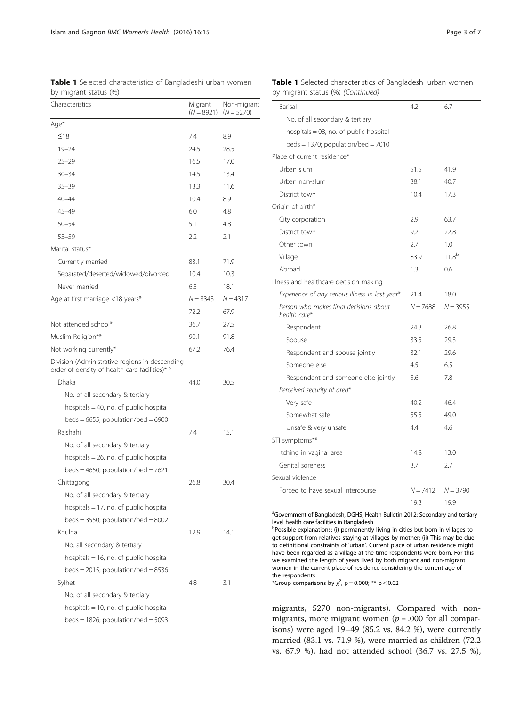| Characteristics                                                                                             | Migrant<br>$(N = 8921)$ | Non-migrant<br>$(N = 5270)$ |
|-------------------------------------------------------------------------------------------------------------|-------------------------|-----------------------------|
| Age*                                                                                                        |                         |                             |
| $\leq 18$                                                                                                   | 7.4                     | 8.9                         |
| $19 - 24$                                                                                                   | 24.5                    | 28.5                        |
| $25 - 29$                                                                                                   | 16.5                    | 17.0                        |
| $30 - 34$                                                                                                   | 14.5                    | 13.4                        |
| $35 - 39$                                                                                                   | 13.3                    | 11.6                        |
| $40 - 44$                                                                                                   | 10.4                    | 8.9                         |
| $45 - 49$                                                                                                   | 6.0                     | 4.8                         |
| $50 - 54$                                                                                                   | 5.1                     | 4.8                         |
| $55 - 59$                                                                                                   | 2.2                     | 2.1                         |
| Marital status*                                                                                             |                         |                             |
| Currently married                                                                                           | 83.1                    | 71.9                        |
| Separated/deserted/widowed/divorced                                                                         | 10.4                    | 10.3                        |
| Never married                                                                                               | 6.5                     | 18.1                        |
| Age at first marriage <18 years*                                                                            | $N = 8343$              | $N = 4317$                  |
|                                                                                                             | 72.2                    | 67.9                        |
| Not attended school*                                                                                        | 36.7                    | 27.5                        |
| Muslim Religion**                                                                                           | 90.1                    | 91.8                        |
| Not working currently*                                                                                      | 67.2                    | 76.4                        |
| Division (Administrative regions in descending<br>order of density of health care facilities)* <sup>a</sup> |                         |                             |
| Dhaka                                                                                                       | 44.0                    | 30.5                        |
| No. of all secondary & tertiary                                                                             |                         |                             |
| hospitals $=$ 40, no. of public hospital                                                                    |                         |                             |
| beds = $6655$ ; population/bed = $6900$                                                                     |                         |                             |
| Rajshahi                                                                                                    | 7.4                     | 15.1                        |
| No. of all secondary & tertiary                                                                             |                         |                             |
| hospitals $= 26$ , no. of public hospital                                                                   |                         |                             |
| beds = 4650; population/bed = 7621                                                                          |                         |                             |
| Chittagong                                                                                                  | 26.8                    | 30.4                        |
| No. of all secondary & tertiary                                                                             |                         |                             |
| hospitals $= 17$ , no. of public hospital                                                                   |                         |                             |
| beds = $3550$ ; population/bed = $8002$                                                                     |                         |                             |
| Khulna                                                                                                      | 12.9                    | 14.1                        |
| No. all secondary & tertiary                                                                                |                         |                             |
| hospitals = $16$ , no. of public hospital                                                                   |                         |                             |
| beds = $2015$ ; population/bed = $8536$                                                                     |                         |                             |
| Sylhet                                                                                                      | 4.8                     | 3.1                         |
| No. of all secondary & tertiary                                                                             |                         |                             |
| hospitals $= 10$ , no. of public hospital                                                                   |                         |                             |
| beds = $1826$ ; population/bed = $5093$                                                                     |                         |                             |

<span id="page-2-0"></span>Table 1 Selected characteristics of Bangladeshi urban women by migrant status (%)

| Barisal                                                | 4.2        | 6.7        |
|--------------------------------------------------------|------------|------------|
| No. of all secondary & tertiary                        |            |            |
| hospitals $= 08$ , no. of public hospital              |            |            |
| beds = $1370$ ; population/bed = $7010$                |            |            |
| Place of current residence*                            |            |            |
| Urban slum                                             | 51.5       | 41.9       |
| Urban non-slum                                         | 38.1       | 40.7       |
| District town                                          | 10.4       | 17.3       |
| Origin of birth*                                       |            |            |
| City corporation                                       | 2.9        | 63.7       |
| District town                                          | 9.2        | 22.8       |
| Other town                                             | 2.7        | 1.0        |
| Village                                                | 83.9       | $11.8^{b}$ |
| Abroad                                                 | 1.3        | 0.6        |
| Illness and healthcare decision making                 |            |            |
| Experience of any serious illness in last year*        | 21.4       | 18.0       |
| Person who makes final decisions about<br>health care* | $N = 7688$ | $N = 3955$ |
| Respondent                                             | 24.3       | 26.8       |
| Spouse                                                 | 33.5       | 29.3       |
| Respondent and spouse jointly                          | 32.1       | 29.6       |
| Someone else                                           | 4.5        | 6.5        |
| Respondent and someone else jointly                    | 5.6        | 7.8        |
| Perceived security of area*                            |            |            |
| Very safe                                              | 40.2       | 46.4       |
| Somewhat safe                                          | 55.5       | 49.0       |
| Unsafe & very unsafe                                   | 4.4        | 4.6        |
| STI symptoms**                                         |            |            |
| Itching in vaginal area                                | 14.8       | 13.0       |
| Genital soreness                                       | 3.7        | 2.7        |
| Sexual violence                                        |            |            |
| Forced to have sexual intercourse                      | $N = 7412$ | $N = 3790$ |
|                                                        | 19.3       | 19.9       |
|                                                        |            |            |

Table 1 Selected characteristics of Bangladeshi urban women by migrant status (%) (Continued)

<sup>a</sup>Government of Bangladesh, DGHS, Health Bulletin 2012: Secondary and tertiary level health care facilities in Bangladesh

bPossible explanations: (i) permanently living in cities but born in villages to get support from relatives staying at villages by mother; (ii) This may be due to definitional constraints of 'urban'. Current place of urban residence might have been regarded as a village at the time respondents were born. For this we examined the length of years lived by both migrant and non-migrant women in the current place of residence considering the current age of the respondents \*Group comparisons by  $\chi^2$ , p = 0.000; \*\* p  $\leq$  0.02

migrants, 5270 non-migrants). Compared with nonmigrants, more migrant women ( $p = .000$  for all comparisons) were aged 19–49 (85.2 vs. 84.2 %), were currently married (83.1 vs. 71.9 %), were married as children (72.2 vs. 67.9 %), had not attended school (36.7 vs. 27.5 %),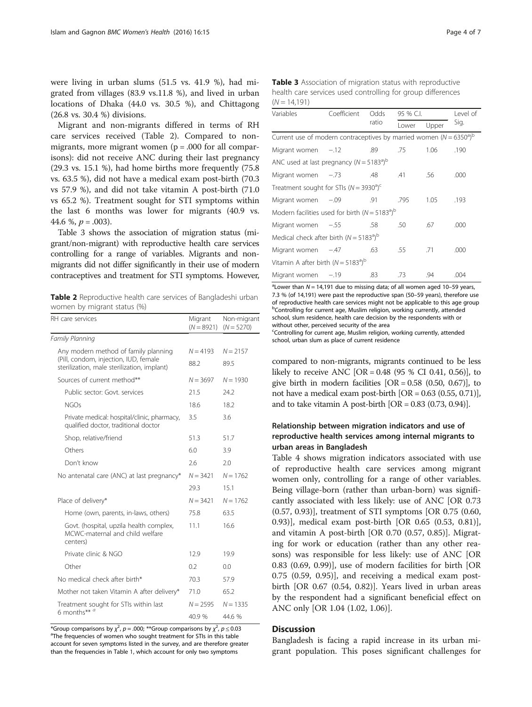were living in urban slums (51.5 vs. 41.9 %), had migrated from villages (83.9 vs.11.8 %), and lived in urban locations of Dhaka (44.0 vs. 30.5 %), and Chittagong (26.8 vs. 30.4 %) divisions.

Migrant and non-migrants differed in terms of RH care services received (Table 2). Compared to nonmigrants, more migrant women ( $p = .000$  for all comparisons): did not receive ANC during their last pregnancy (29.3 vs. 15.1 %), had home births more frequently (75.8 vs. 63.5 %), did not have a medical exam post-birth (70.3 vs 57.9 %), and did not take vitamin A post-birth (71.0 vs 65.2 %). Treatment sought for STI symptoms within the last 6 months was lower for migrants (40.9 vs. 44.6 %,  $p = .003$ ).

Table 3 shows the association of migration status (migrant/non-migrant) with reproductive health care services controlling for a range of variables. Migrants and nonmigrants did not differ significantly in their use of modern contraceptives and treatment for STI symptoms. However,

Table 2 Reproductive health care services of Bangladeshi urban women by migrant status (%)

| RH care services                                                                       | Migrant<br>$(N = 8921)$ | Non-migrant<br>$(N = 5270)$ |  |
|----------------------------------------------------------------------------------------|-------------------------|-----------------------------|--|
| Family Planning                                                                        |                         |                             |  |
| Any modern method of family planning                                                   | $N = 4193$              | $N = 2157$                  |  |
| (Pill, condom, injection, IUD, female<br>sterilization, male sterilization, implant)   | 88.2                    | 89.5                        |  |
| Sources of current method**                                                            | $N = 3697$              | $N = 1930$                  |  |
| Public sector: Govt. services                                                          | 21.5                    | 24.2                        |  |
| <b>NGOs</b>                                                                            | 18.6                    | 18.2                        |  |
| Private medical: hospital/clinic, pharmacy,<br>qualified doctor, traditional doctor    | 3.5                     | 3.6                         |  |
| Shop, relative/friend                                                                  | 51.3                    | 51.7                        |  |
| Others                                                                                 | 6.0                     | 3.9                         |  |
| Don't know                                                                             | 2.6                     | 2.0                         |  |
| No antenatal care (ANC) at last pregnancy*                                             | $N = 3421$              | $N = 1762$                  |  |
|                                                                                        | 29.3                    | 15.1                        |  |
| Place of delivery*                                                                     | $N = 3421$              | $N = 1762$                  |  |
| Home (own, parents, in-laws, others)                                                   | 75.8                    | 63.5                        |  |
| Govt. (hospital, upzila health complex,<br>MCWC-maternal and child welfare<br>centers) | 11.1                    | 16.6                        |  |
| Private clinic & NGO                                                                   | 12.9                    | 19.9                        |  |
| Other                                                                                  | 0.2                     | 0.0                         |  |
| No medical check after birth*                                                          | 70.3                    | 57.9                        |  |
| Mother not taken Vitamin A after delivery*                                             | 71.0                    | 65.2                        |  |
| Treatment sought for STIs within last                                                  | $N = 2595$              | $N = 1335$                  |  |
| 6 months** $a$                                                                         | 40.9 %                  | 44.6 %                      |  |

\*Group comparisons by  $\chi^2$ ,  $p = .000$ ; \*\*Group comparisons by  $\chi^2$ ,  $p \le 0.03$ <br><sup>a</sup>The frequencies of wemen who sought treatment for STIs in this table. <sup>a</sup>The frequencies of women who sought treatment for STIs in this table account for seven symptoms listed in the survey, and are therefore greater than the frequencies in Table [1](#page-2-0), which account for only two symptoms

Table 3 Association of migration status with reproductive health care services used controlling for group differences  $(N = 14,191)$ 

| Variables                                                                           | Coefficient<br><b>Odds</b><br>ratio |       | $95%$ C.L. |      | Level of |  |
|-------------------------------------------------------------------------------------|-------------------------------------|-------|------------|------|----------|--|
|                                                                                     |                                     | Lower | Upper      | Sig. |          |  |
| Current use of modern contraceptives by married women ( $N = 6350^a$ ) <sup>b</sup> |                                     |       |            |      |          |  |
| Migrant women $-.12$                                                                |                                     | .89   | .75        | 1.06 | .190     |  |
| ANC used at last pregnancy ( $N = 5183a$ ) <sup>b</sup>                             |                                     |       |            |      |          |  |
| Migrant women $-.73$                                                                |                                     | .48   | .41        | .56  | .000     |  |
| Treatment sought for STIs ( $N = 3930^a$ ) <sup>c</sup>                             |                                     |       |            |      |          |  |
| Migrant women $-.09$                                                                |                                     | .91   | .795       | 1.05 | .193     |  |
| Modern facilities used for birth ( $N = 5183a$ ) <sup>b</sup>                       |                                     |       |            |      |          |  |
| Migrant women $-.55$                                                                |                                     | .58   | .50        | .67  | .000     |  |
| Medical check after birth ( $N = 5183a$ ) <sup>b</sup>                              |                                     |       |            |      |          |  |
| Migrant women $-.47$                                                                |                                     | .63   | .55        | .71  | .000     |  |
| Vitamin A after birth $(N = 5183a)b$                                                |                                     |       |            |      |          |  |
| Migrant women                                                                       | $-.19$                              | .83   | .73        | .94  | .004     |  |

 $a$ Lower than  $N = 14,191$  due to missing data; of all women aged 10-59 years, 7.3 % (of 14,191) were past the reproductive span (50–59 years), therefore use of reproductive health care services might not be applicable to this age group <sup>b</sup>Controlling for current age, Muslim religion, working currently, attended school, slum residence, health care decision by the respondents with or without other, perceived security of the area

<sup>c</sup>Controlling for current age, Muslim religion, working currently, attended school, urban slum as place of current residence

compared to non-migrants, migrants continued to be less likely to receive ANC  $[OR = 0.48 (95 % CI 0.41, 0.56)]$ , to give birth in modern facilities  $[OR = 0.58 (0.50, 0.67)]$ , to not have a medical exam post-birth  $[OR = 0.63 (0.55, 0.71)],$ and to take vitamin A post-birth  $[OR = 0.83 (0.73, 0.94)].$ 

#### Relationship between migration indicators and use of reproductive health services among internal migrants to urban areas in Bangladesh

Table [4](#page-4-0) shows migration indicators associated with use of reproductive health care services among migrant women only, controlling for a range of other variables. Being village-born (rather than urban-born) was significantly associated with less likely: use of ANC [OR 0.73 (0.57, 0.93)], treatment of STI symptoms [OR 0.75 (0.60, 0.93)], medical exam post-birth [OR 0.65 (0.53, 0.81)], and vitamin A post-birth [OR 0.70 (0.57, 0.85)]. Migrating for work or education (rather than any other reasons) was responsible for less likely: use of ANC [OR 0.83 (0.69, 0.99)], use of modern facilities for birth [OR 0.75 (0.59, 0.95)], and receiving a medical exam postbirth [OR 0.67 (0.54, 0.82)]. Years lived in urban areas by the respondent had a significant beneficial effect on ANC only [OR 1.04 (1.02, 1.06)].

#### **Discussion**

Bangladesh is facing a rapid increase in its urban migrant population. This poses significant challenges for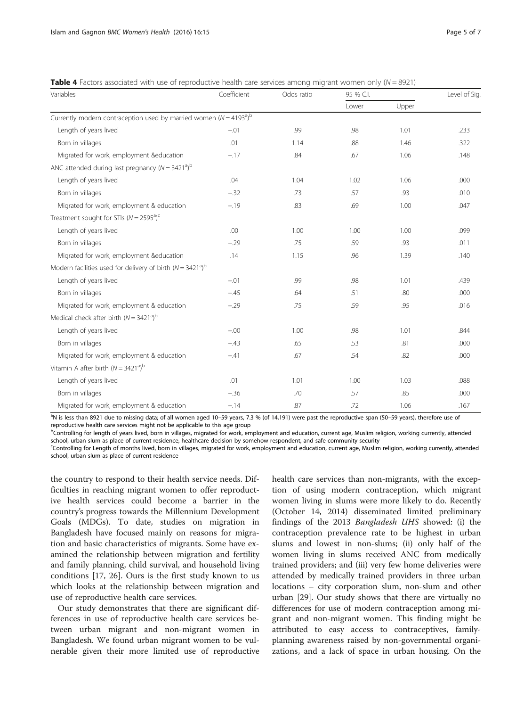<span id="page-4-0"></span>

| <b>Table 4</b> Factors associated with use of reproductive health care services among migrant women only ( $N = 8921$ ) |  |  |
|-------------------------------------------------------------------------------------------------------------------------|--|--|
|                                                                                                                         |  |  |

| Variables                                                                         | Coefficient | Odds ratio | 95 % C.I. |       | Level of Sig. |
|-----------------------------------------------------------------------------------|-------------|------------|-----------|-------|---------------|
|                                                                                   |             |            | Lower     | Upper |               |
| Currently modern contraception used by married women ( $N = 4193a$ ) <sup>b</sup> |             |            |           |       |               |
| Length of years lived                                                             | $-.01$      | .99        | .98       | 1.01  | .233          |
| Born in villages                                                                  | .01         | 1.14       | .88       | 1.46  | .322          |
| Migrated for work, employment &education                                          | $-.17$      | .84        | .67       | 1.06  | .148          |
| ANC attended during last pregnancy ( $N = 3421a$ ) <sup>b</sup>                   |             |            |           |       |               |
| Length of years lived                                                             | .04         | 1.04       | 1.02      | 1.06  | .000          |
| Born in villages                                                                  | $-.32$      | .73        | .57       | .93   | .010          |
| Migrated for work, employment & education                                         | $-.19$      | .83        | .69       | 1.00  | .047          |
| Treatment sought for STIs ( $N = 2595^a$ ) <sup>c</sup>                           |             |            |           |       |               |
| Length of years lived                                                             | .00         | 1.00       | 1.00      | 1.00  | .099          |
| Born in villages                                                                  | $-29$       | .75        | .59       | .93   | .011          |
| Migrated for work, employment &education                                          | .14         | 1.15       | .96       | 1.39  | .140          |
| Modern facilities used for delivery of birth ( $N = 3421^{\circ}$ ) <sup>b</sup>  |             |            |           |       |               |
| Length of years lived                                                             | $-.01$      | .99        | .98       | 1.01  | .439          |
| Born in villages                                                                  | $-45$       | .64        | .51       | .80   | .000          |
| Migrated for work, employment & education                                         | $-.29$      | .75        | .59       | .95   | .016          |
| Medical check after birth $(N = 3421a)b$                                          |             |            |           |       |               |
| Length of years lived                                                             | $-.00$      | 1.00       | .98       | 1.01  | .844          |
| Born in villages                                                                  | $-.43$      | .65        | .53       | .81   | .000          |
| Migrated for work, employment & education                                         | $-.41$      | .67        | .54       | .82   | .000          |
| Vitamin A after birth $(N = 3421^a)^b$                                            |             |            |           |       |               |
| Length of years lived                                                             | .01         | 1.01       | 1.00      | 1.03  | .088          |
| Born in villages                                                                  | $-.36$      | .70        | .57       | .85   | .000          |
| Migrated for work, employment & education                                         | $-.14$      | .87        | .72       | 1.06  | .167          |

<sup>a</sup>N is less than 8921 due to missing data; of all women aged 10–59 years, 7.3 % (of 14,191) were past the reproductive span (50–59 years), therefore use of reproductive health care services might not be applicable to this age group

<sup>b</sup>Controlling for length of years lived, born in villages, migrated for work, employment and education, current age, Muslim religion, working currently, attended school, urban slum as place of current residence, healthcare decision by somehow respondent, and safe community security

c Controlling for Length of months lived, born in villages, migrated for work, employment and education, current age, Muslim religion, working currently, attended school, urban slum as place of current residence

the country to respond to their health service needs. Difficulties in reaching migrant women to offer reproductive health services could become a barrier in the country's progress towards the Millennium Development Goals (MDGs). To date, studies on migration in Bangladesh have focused mainly on reasons for migration and basic characteristics of migrants. Some have examined the relationship between migration and fertility and family planning, child survival, and household living conditions [\[17](#page-6-0), [26\]](#page-6-0). Ours is the first study known to us which looks at the relationship between migration and use of reproductive health care services.

Our study demonstrates that there are significant differences in use of reproductive health care services between urban migrant and non-migrant women in Bangladesh. We found urban migrant women to be vulnerable given their more limited use of reproductive health care services than non-migrants, with the exception of using modern contraception, which migrant women living in slums were more likely to do. Recently (October 14, 2014) disseminated limited preliminary findings of the 2013 Bangladesh UHS showed: (i) the contraception prevalence rate to be highest in urban slums and lowest in non-slums; (ii) only half of the women living in slums received ANC from medically trained providers; and (iii) very few home deliveries were attended by medically trained providers in three urban locations – city corporation slum, non-slum and other urban [[29\]](#page-6-0). Our study shows that there are virtually no differences for use of modern contraception among migrant and non-migrant women. This finding might be attributed to easy access to contraceptives, familyplanning awareness raised by non-governmental organizations, and a lack of space in urban housing. On the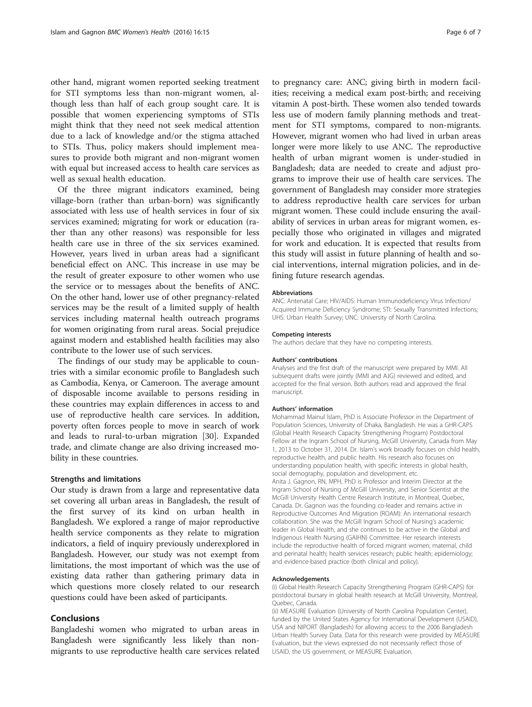other hand, migrant women reported seeking treatment for STI symptoms less than non-migrant women, although less than half of each group sought care. It is possible that women experiencing symptoms of STIs might think that they need not seek medical attention due to a lack of knowledge and/or the stigma attached to STIs. Thus, policy makers should implement measures to provide both migrant and non-migrant women with equal but increased access to health care services as well as sexual health education.

Of the three migrant indicators examined, being village-born (rather than urban-born) was significantly associated with less use of health services in four of six services examined; migrating for work or education (rather than any other reasons) was responsible for less health care use in three of the six services examined. However, years lived in urban areas had a significant beneficial effect on ANC. This increase in use may be the result of greater exposure to other women who use the service or to messages about the benefits of ANC. On the other hand, lower use of other pregnancy-related services may be the result of a limited supply of health services including maternal health outreach programs for women originating from rural areas. Social prejudice against modern and established health facilities may also contribute to the lower use of such services.

The findings of our study may be applicable to countries with a similar economic profile to Bangladesh such as Cambodia, Kenya, or Cameroon. The average amount of disposable income available to persons residing in these countries may explain differences in access to and use of reproductive health care services. In addition, poverty often forces people to move in search of work and leads to rural-to-urban migration [[30\]](#page-6-0). Expanded trade, and climate change are also driving increased mobility in these countries.

#### Strengths and limitations

Our study is drawn from a large and representative data set covering all urban areas in Bangladesh, the result of the first survey of its kind on urban health in Bangladesh. We explored a range of major reproductive health service components as they relate to migration indicators, a field of inquiry previously underexplored in Bangladesh. However, our study was not exempt from limitations, the most important of which was the use of existing data rather than gathering primary data in which questions more closely related to our research questions could have been asked of participants.

#### Conclusions

Bangladeshi women who migrated to urban areas in Bangladesh were significantly less likely than nonmigrants to use reproductive health care services related

to pregnancy care: ANC; giving birth in modern facilities; receiving a medical exam post-birth; and receiving vitamin A post-birth. These women also tended towards less use of modern family planning methods and treatment for STI symptoms, compared to non-migrants. However, migrant women who had lived in urban areas longer were more likely to use ANC. The reproductive health of urban migrant women is under-studied in Bangladesh; data are needed to create and adjust programs to improve their use of health care services. The government of Bangladesh may consider more strategies to address reproductive health care services for urban migrant women. These could include ensuring the availability of services in urban areas for migrant women, especially those who originated in villages and migrated for work and education. It is expected that results from this study will assist in future planning of health and social interventions, internal migration policies, and in defining future research agendas.

#### Abbreviations

ANC: Antenatal Care; HIV/AIDS: Human Immunodeficiency Virus Infection/ Acquired Immune Deficiency Syndrome; STI: Sexually Transmitted Infections; UHS: Urban Health Survey; UNC: University of North Carolina.

#### Competing interests

The authors declare that they have no competing interests.

#### Authors' contributions

Analyses and the first draft of the manuscript were prepared by MMI. All subsequent drafts were jointly (MMI and AJG) reviewed and edited, and accepted for the final version. Both authors read and approved the final manuscript.

#### Authors' information

Mohammad Mainul Islam, PhD is Associate Professor in the Department of Population Sciences, University of Dhaka, Bangladesh. He was a GHR-CAPS (Global Health Research Capacity Strengthening Program) Postdoctoral Fellow at the Ingram School of Nursing, McGill University, Canada from May 1, 2013 to October 31, 2014. Dr. Islam's work broadly focuses on child health, reproductive health, and public health. His research also focuses on understanding population health, with specific interests in global health, social demography, population and development, etc. Anita J. Gagnon, RN, MPH, PhD is Professor and Interim Director at the Ingram School of Nursing of McGill University, and Senior Scientist at the McGill University Health Centre Research Institute, in Montreal, Quebec, Canada. Dr. Gagnon was the founding co-leader and remains active in Reproductive Outcomes And Migration (ROAM): An international research collaboration. She was the McGill Ingram School of Nursing's academic leader in Global Health, and she continues to be active in the Global and Indigenous Health Nursing (GAIHN) Committee. Her research interests include the reproductive health of forced migrant women; maternal, child and perinatal health; health services research; public health; epidemiology; and evidence-based practice (both clinical and policy).

#### Acknowledgements

(i) Global Health Research Capacity Strengthening Program (GHR-CAPS) for postdoctoral bursary in global health research at McGill University, Montreal, Quebec, Canada.

(ii) MEASURE Evaluation (University of North Carolina Population Center), funded by the United States Agency for International Development (USAID), USA and NIPORT (Bangladesh) for allowing access to the 2006 Bangladesh Urban Health Survey Data. Data for this research were provided by MEASURE Evaluation, but the views expressed do not necessarily reflect those of USAID, the US government, or MEASURE Evaluation.